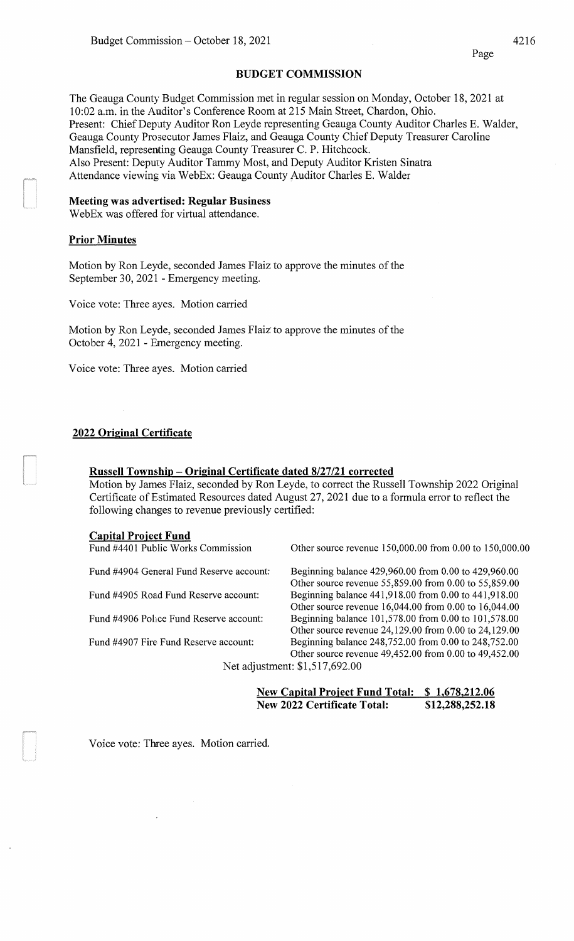#### **BUDGET COMMISSION**

The Geauga County Budget Commission met in regular session on Monday, October 18, 2021 at 10:02 a.m. in the Auditor's Conference Room at 215 Main Street, Chardon, Ohio. Present: Chief Deputy Auditor Ron Leyde representing Geauga County Auditor Charles E. Walder, Geauga County Prosecutor James Flaiz, and Geauga County Chief Deputy Treasurer Caroline Mansfield, representing Geauga County Treasurer C. P. Hitchcock. Also Present: Deputy Auditor Tammy Most, and Deputy Auditor Kristen Sinatra Attendance viewing via WebEx: Geauga County Auditor Charles E. Walder

#### **Meeting was advertised: Regular Business**

WebEx was offered for virtual attendance.

## **Prior Minutes**

Motion by Ron Leyde, seconded James Flaiz to approve the minutes of the September 30, 2021 - Emergency meeting.

Voice vote: Three ayes. Motion carried

Motion by Ron Leyde, seconded James Flaiz to approve the minutes of the October 4, 2021 -Emergency meeting.

Voice vote: Three ayes. Motion carried

#### **2022 Original Certificate**

#### **Russell Township - Original Certificate dated 8/27/21 corrected**

Motion by James Flaiz, seconded by Ron Leyde, to correct the Russell Township 2022 Original Certificate of Estimated Resources dated August 27, 2021 due to a formula error to reflect the following changes to revenue previously certified:

#### **Capital Project Fund**

| Fund #4401 Public Works Commission       | Other source revenue 150,000.00 from 0.00 to 150,000.00 |
|------------------------------------------|---------------------------------------------------------|
| Fund #4904 General Fund Reserve account: | Beginning balance 429,960.00 from 0.00 to 429,960.00    |
|                                          | Other source revenue 55,859.00 from 0.00 to 55,859.00   |
| Fund #4905 Road Fund Reserve account:    | Beginning balance 441,918.00 from 0.00 to 441,918.00    |
|                                          | Other source revenue 16,044.00 from 0.00 to 16,044.00   |
| Fund #4906 Police Fund Reserve account:  | Beginning balance 101,578.00 from 0.00 to 101,578.00    |
|                                          | Other source revenue 24,129.00 from 0.00 to 24,129.00   |
| Fund #4907 Fire Fund Reserve account:    | Beginning balance 248,752.00 from 0.00 to 248,752.00    |
|                                          | Other source revenue 49,452.00 from 0.00 to 49,452.00   |
|                                          | Net adjustment: \$1,517,692.00                          |
|                                          |                                                         |

**New Capital Project Fund Total: \$ 1,678,212.06 New 2022 Certificate Total: \$12,288,252.18** 

Voice vote: Three ayes. Motion carried.

Page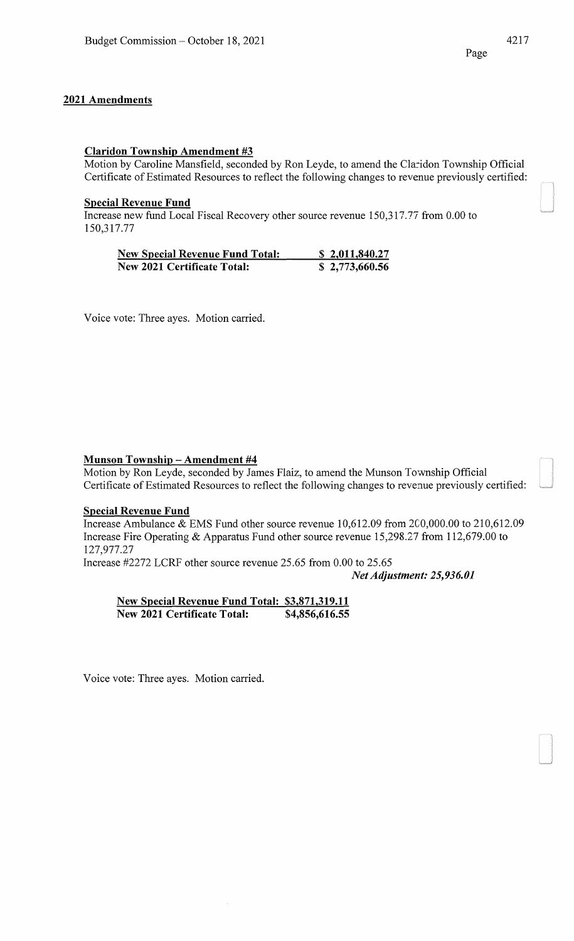## Claridon Township Amendment #3

Motion by Caroline Mansfield, seconded by Ron Leyde, to amend the Claridon Township Official Certificate of Estimated Resources to reflect the following changes to revenue previously certified:

## Special Revenue Fund

Increase new fund Local Fiscal Recovery other source revenue 150,317.77 from 0.00 to 150,317.77

| <b>New Special Revenue Fund Total:</b> | \$2,011,840.27 |
|----------------------------------------|----------------|
| <b>New 2021 Certificate Total:</b>     | \$2,773,660.56 |

Voice vote: Three ayes. Motion carried.

## Munson Township- Amendment #4

Motion by Ron Leyde, seconded by James Flaiz, to amend the Munson Township Official Certificate of Estimated Resources to reflect the following changes to revenue previously certified:

#### Special Revenue Fund

Increase Ambulance & EMS Fund other source revenue 10,612.09 from 2CO,OOO.OO to 210,612.09 Increase Fire Operating & Apparatus Fund other source revenue 15,298.27 from 112,679.00 to 127,977.27

Increase #2272 LCRF other source revenue 25.65 from 0.00 to 25.65

*Net Adjustment: 25,936.01* 

New Special Revenue Fund Total: \$3,871,319.11 New 2021 Certificate Total: \$4,856,616.55

Voice vote: Three ayes. Motion carried.

Page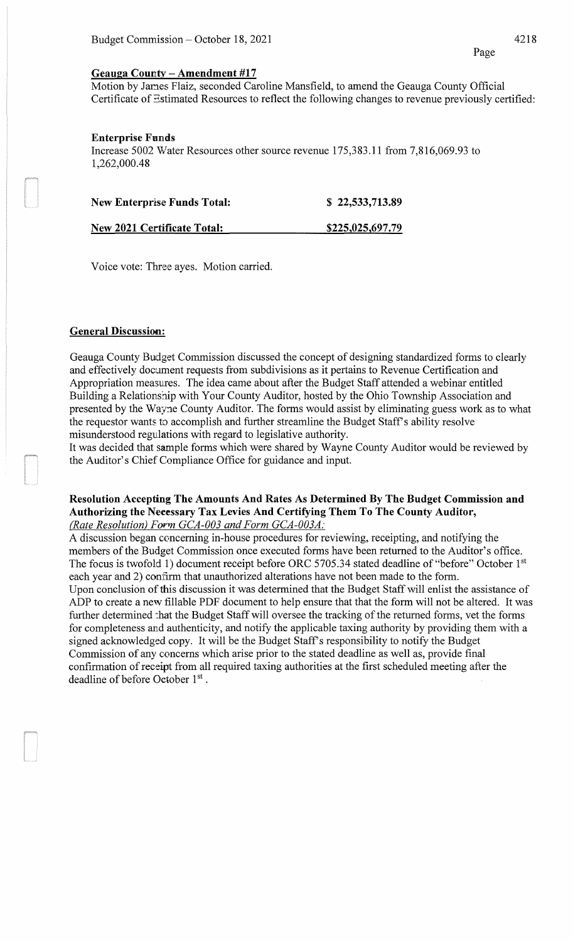#### **Geauga Countv - Amendment #17**

Motion by Janes Flaiz, seconded Caroline Mansfield, to amend the Geauga County Official Certificate of Estimated Resources to reflect the following changes to revenue previously certified:

## **Enterprise Funds**

Increase 5002 Water Resources other source revenue 175,383.11 from 7,816,069.93 to 1,262,000.48

| <b>New Enterprise Funds Total:</b> | \$22,533,713.89  |
|------------------------------------|------------------|
| New 2021 Certificate Total:        | \$225,025,697.79 |

Voice vote: Three ayes. Motion carried.

# **General Discussion:**

Geauga County Budget Commission discussed the concept of designing standardized forms to clearly and effectively document requests from subdivisions as it pertains to Revenue Certification and Appropriation measures. The idea came about after the Budget Staff attended a webinar entitled Building a Relationship with Your County Auditor, hosted by the Ohio Township Association and presented by the Wayne County Auditor. The forms would assist by eliminating guess work as to what the requestor wants to accomplish and further streamline the Budget Staff's ability resolve misunderstood regulations with regard to legislative authority.

It was decided that sample forms which were shared by Wayne County Auditor would be reviewed by the Auditor's Chief Compliance Office for guidance and input.

## **Resolution Accepting The Amounts And Rates As Determined By The Budget Commission and Authorizing the Necessary Tax Levies And Certifying Them To The County Auditor,**  *(Rate Resolution) Form GCA-003 and Form GCA-003A:*

A discussion began ceoncerning in-house procedures for reviewing, receipting, and notifying the members of the Budget Commission once executed forms have been returned to the Auditor's office. The focus is twofold **1)** document receipt before ORC 5705.34 stated deadline of "before" October 1st each year and 2) confirm that unauthorized alterations have not been made to the form. Upon conclusion of this discussion it was determined that the Budget Staff will enlist the assistance of ADP to create a new fillable PDF document to help ensure that that the form will not be altered. It was further determined :hat the Budget Staff will oversee the tracking of the returned forms, vet the forms for completeness and authenticity, and notify the applicable taxing authority by providing them with a signed acknowledged copy. It will be the Budget Staff's responsibility to notify the Budget Commission of any concerns which arise prior to the stated deadline as well as, provide final confirmation of receipt from all required taxing authorities at the first scheduled meeting after the deadline of before October 1st.